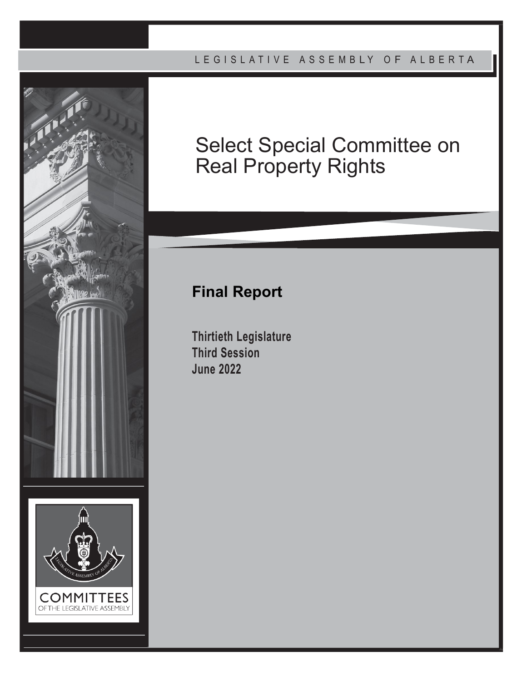## L E G I S L A T I V E A S S E M B L Y O F A L B E R T A





# Select Special Committee on Real Property Rights

## **Final Report**

**Thirtieth Legislature Third Session June 2022**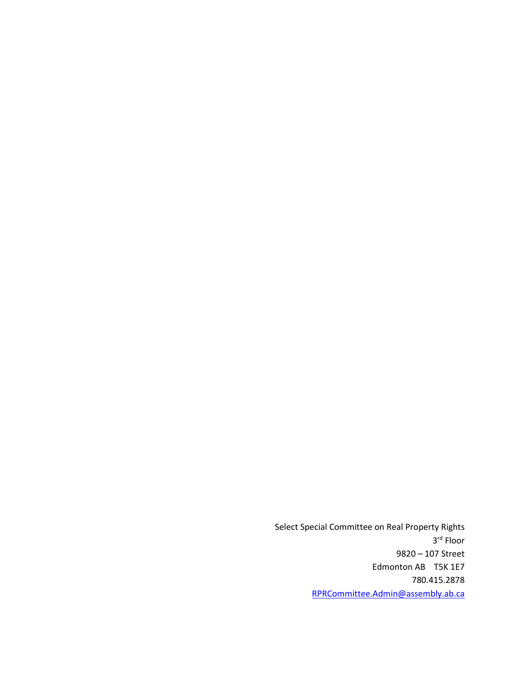Select Special Committee on Real Property Rights 3rd Floor 9820 – 107 Street Edmonton AB T5K 1E7 780.415.2878 [RPRCommittee.Admin@assembly.ab.ca](mailto:RPRCommittee.Admin@assembly.ab.ca)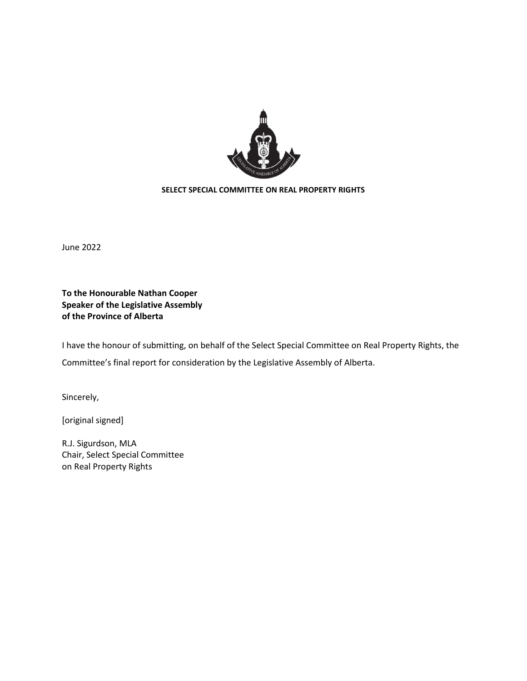

## **SELECT SPECIAL COMMITTEE ON REAL PROPERTY RIGHTS**

June 2022

**To the Honourable Nathan Cooper Speaker of the Legislative Assembly of the Province of Alberta**

I have the honour of submitting, on behalf of the Select Special Committee on Real Property Rights, the Committee's final report for consideration by the Legislative Assembly of Alberta.

Sincerely,

[original signed]

R.J. Sigurdson, MLA Chair, Select Special Committee on Real Property Rights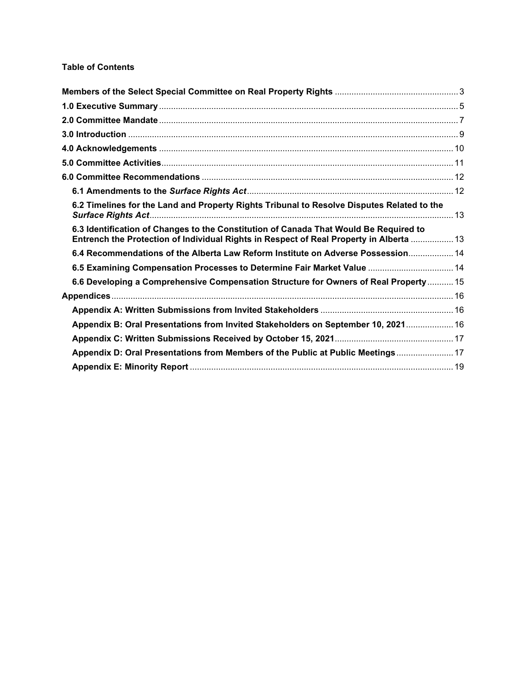## **Table of Contents**

| 6.2 Timelines for the Land and Property Rights Tribunal to Resolve Disputes Related to the                                                                                       |  |
|----------------------------------------------------------------------------------------------------------------------------------------------------------------------------------|--|
| 6.3 Identification of Changes to the Constitution of Canada That Would Be Required to<br>Entrench the Protection of Individual Rights in Respect of Real Property in Alberta  13 |  |
| 6.4 Recommendations of the Alberta Law Reform Institute on Adverse Possession 14                                                                                                 |  |
| 6.5 Examining Compensation Processes to Determine Fair Market Value  14                                                                                                          |  |
| 6.6 Developing a Comprehensive Compensation Structure for Owners of Real Property  15                                                                                            |  |
|                                                                                                                                                                                  |  |
|                                                                                                                                                                                  |  |
| Appendix B: Oral Presentations from Invited Stakeholders on September 10, 2021 16                                                                                                |  |
|                                                                                                                                                                                  |  |
| Appendix D: Oral Presentations from Members of the Public at Public Meetings 17                                                                                                  |  |
|                                                                                                                                                                                  |  |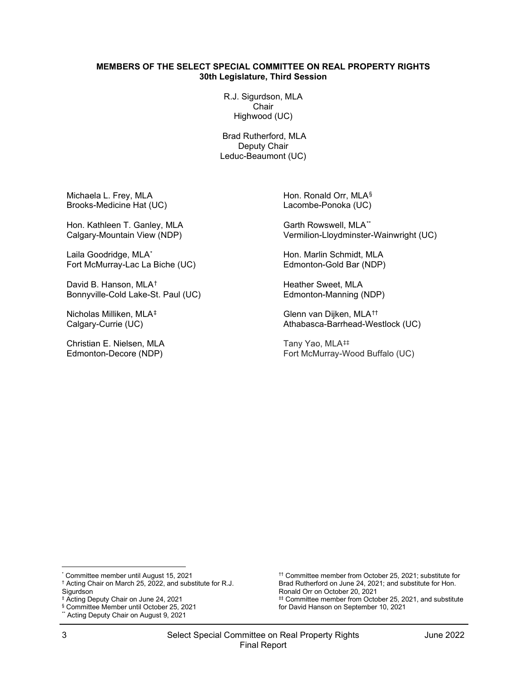#### <span id="page-4-0"></span>**MEMBERS OF THE SELECT SPECIAL COMMITTEE ON REAL PROPERTY RIGHTS 30th Legislature, Third Session**

R.J. Sigurdson, MLA **Chair** Highwood (UC)

Brad Rutherford, MLA Deputy Chair Leduc-Beaumont (UC)

Michaela L. Frey, MLA Brooks-Medicine Hat (UC)

Hon. Kathleen T. Ganley, MLA Calgary-Mountain View (NDP)

Laila Goodridge, MLA[\\*](#page-4-1) Fort McMurray-Lac La Biche (UC)

David B. Hanson, MLA[†](#page-4-2)  Bonnyville-Cold Lake-St. Paul (UC)

Nicholas Milliken, MLA[‡](#page-4-3) Calgary-Currie (UC)

Christian E. Nielsen, MLA Edmonton-Decore (NDP) Hon. Ronald Orr, MLA[§](#page-4-4) Lacombe-Ponoka (UC)

Garth Rowswell, MLA[\\*\\*](#page-4-5) Vermilion-Lloydminster-Wainwright (UC)

Hon. Marlin Schmidt, MLA Edmonton-Gold Bar (NDP)

Heather Sweet, MLA Edmonton-Manning (NDP)

Glenn van Dijken, MLA[††](#page-4-1) Athabasca-Barrhead-Westlock (UC)

Tany Yao, MLA# Fort McMurray-Wood Buffalo (UC)

†† Committee member from October 25, 2021; substitute for Brad Rutherford on June 24, 2021; and substitute for Hon.

‡‡ Committee member from October 25, 2021, and substitute

Ronald Orr on October 20, 2021

for David Hanson on September 10, 2021

<span id="page-4-2"></span><span id="page-4-1"></span>

<sup>\*</sup> Committee member until August 15, 2021 † Acting Chair on March 25, 2022, and substitute for R.J. **Sigurdson** 

<span id="page-4-3"></span><sup>‡</sup> Acting Deputy Chair on June 24, 2021

<span id="page-4-4"></span><sup>§</sup> Committee Member until October 25, 2021

<span id="page-4-5"></span><sup>\*\*</sup> Acting Deputy Chair on August 9, 2021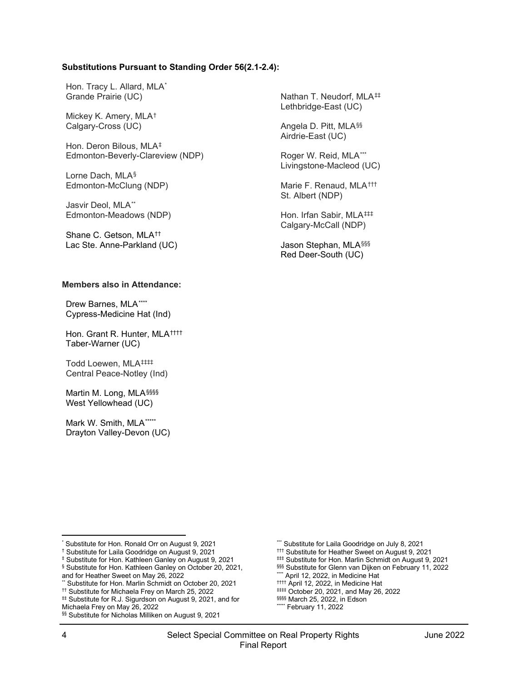#### **Substitutions Pursuant to Standing Order 56(2.1-2.4):**

Hon. Tracy L. Allard, MLA[\\*](#page-5-0) Grande Prairie (UC)

Mickey K. Amery, MLA[†](#page-5-1)  Calgary-Cross (UC)

Hon. Deron Bilous, MLA[‡](#page-5-2) Edmonton-Beverly-Clareview (NDP)

Lorne Dach, MLA[§](#page-5-3) Edmonton-McClung (NDP)

Jasvir Deol, MLA[\\*\\*](#page-5-4) Edmonton-Meadows (NDP)

Shane C. Getson, MLA<sup>++</sup> Lac Ste. Anne-Parkland (UC)

#### **Members also in Attendance:**

Drew Barnes, MLA[\\*\\*\\*\\*](#page-5-8) Cypress-Medicine Hat (Ind)

Hon. Grant R. Hunter, MLA[††††](#page-5-4) Taber-Warner (UC)

Todd Loewen, MLA[‡‡‡‡](#page-5-5) Central Peace-Notley (Ind)

Martin M. Long, MLA[§§§§](#page-5-6) West Yellowhead (UC)

Mark W. Smith, MLA[\\*](#page-5-9)\*\*\*\* Drayton Valley-Devon (UC) Nathan T. Neudorf, MLA<sup>##</sup> Lethbridge-East (UC)

Angela D. Pitt, MLA[§§](#page-5-7) Airdrie-East (UC)

Roger W. Reid, MLA[\\*\\*\\*](#page-5-0) Livingstone-Macleod (UC)

Marie F. Renaud, MLA[†††](#page-5-1) St. Albert (NDP)

Hon. Irfan Sabir, MLA<sup>###</sup> Calgary-McCall (NDP)

Jason Stephan, MLA[§§§](#page-5-3) Red Deer-South (UC)

\*\*\* Substitute for Laila Goodridge on July 8, 2021 ††† Substitute for Heather Sweet on August 9, 2021 ‡‡‡ Substitute for Hon. Marlin Schmidt on August 9, 2021 §§§§ Substitute for Glenn van Dijken on February 11, 2022

\*\*\*\* April 12, 2022, in Medicine Hat †††† April 12, 2022, in Medicine Hat ‡‡‡‡ October 20, 2021, and May 26, 2022

§§§§§ March 25, 2022, in Edson \*\*\*\*\* February 11, 2022

<span id="page-5-9"></span><span id="page-5-6"></span>Michaela Frey on May 26, 2022

<span id="page-5-0"></span>Substitute for Hon. Ronald Orr on August 9, 2021

<span id="page-5-1"></span><sup>†</sup> Substitute for Laila Goodridge on August 9, 2021

<span id="page-5-2"></span><sup>‡</sup> Substitute for Hon. Kathleen Ganley on August 9, 2021

<span id="page-5-8"></span><span id="page-5-3"></span><sup>§</sup> Substitute for Hon. Kathleen Ganley on October 20, 2021, and for Heather Sweet on May 26, 2022

<span id="page-5-4"></span><sup>\*\*</sup> Substitute for Hon. Marlin Schmidt on October 20, 2021 †† Substitute for Michaela Frey on March 25, 2022

<span id="page-5-5"></span><sup>‡‡</sup> Substitute for R.J. Sigurdson on August 9, 2021, and for

<span id="page-5-7"></span><sup>§§</sup> Substitute for Nicholas Milliken on August 9, 2021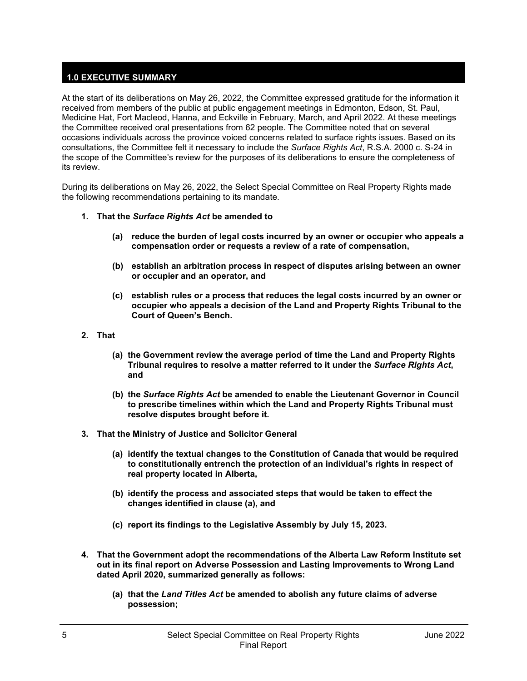## <span id="page-6-0"></span>**1.0 EXECUTIVE SUMMARY**

At the start of its deliberations on May 26, 2022, the Committee expressed gratitude for the information it received from members of the public at public engagement meetings in Edmonton, Edson, St. Paul, Medicine Hat, Fort Macleod, Hanna, and Eckville in February, March, and April 2022. At these meetings the Committee received oral presentations from 62 people. The Committee noted that on several occasions individuals across the province voiced concerns related to surface rights issues. Based on its consultations, the Committee felt it necessary to include the *Surface Rights Act*, R.S.A. 2000 c. S-24 in the scope of the Committee's review for the purposes of its deliberations to ensure the completeness of its review.

During its deliberations on May 26, 2022, the Select Special Committee on Real Property Rights made the following recommendations pertaining to its mandate.

#### **1. That the** *Surface Rights Act* **be amended to**

- **(a) reduce the burden of legal costs incurred by an owner or occupier who appeals a compensation order or requests a review of a rate of compensation,**
- **(b) establish an arbitration process in respect of disputes arising between an owner or occupier and an operator, and**
- **(c) establish rules or a process that reduces the legal costs incurred by an owner or occupier who appeals a decision of the Land and Property Rights Tribunal to the Court of Queen's Bench.**
- **2. That** 
	- **(a) the Government review the average period of time the Land and Property Rights Tribunal requires to resolve a matter referred to it under the** *Surface Rights Act***, and**
	- **(b) the** *Surface Rights Act* **be amended to enable the Lieutenant Governor in Council to prescribe timelines within which the Land and Property Rights Tribunal must resolve disputes brought before it.**
- **3. That the Ministry of Justice and Solicitor General** 
	- **(a) identify the textual changes to the Constitution of Canada that would be required to constitutionally entrench the protection of an individual's rights in respect of real property located in Alberta,**
	- **(b) identify the process and associated steps that would be taken to effect the changes identified in clause (a), and**
	- **(c) report its findings to the Legislative Assembly by July 15, 2023.**
- **4. That the Government adopt the recommendations of the Alberta Law Reform Institute set out in its final report on Adverse Possession and Lasting Improvements to Wrong Land dated April 2020, summarized generally as follows:** 
	- **(a) that the** *Land Titles Act* **be amended to abolish any future claims of adverse possession;**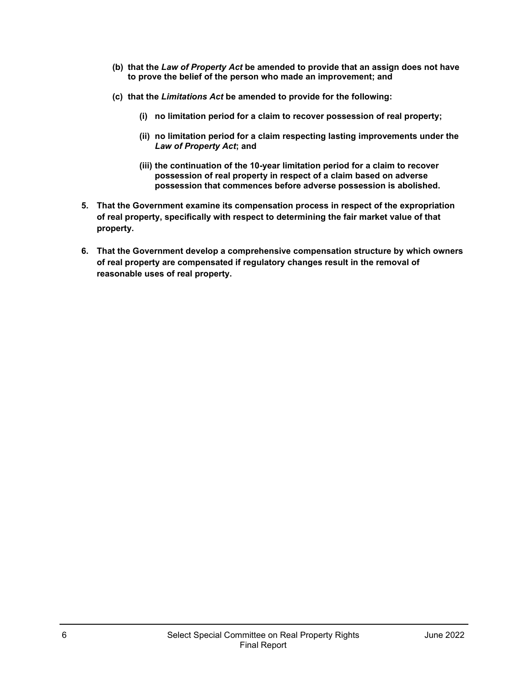- **(b) that the** *Law of Property Act* **be amended to provide that an assign does not have to prove the belief of the person who made an improvement; and**
- **(c) that the** *Limitations Act* **be amended to provide for the following:** 
	- **(i) no limitation period for a claim to recover possession of real property;**
	- **(ii) no limitation period for a claim respecting lasting improvements under the**  *Law of Property Act***; and**
	- **(iii) the continuation of the 10-year limitation period for a claim to recover possession of real property in respect of a claim based on adverse possession that commences before adverse possession is abolished.**
- **5. That the Government examine its compensation process in respect of the expropriation of real property, specifically with respect to determining the fair market value of that property.**
- **6. That the Government develop a comprehensive compensation structure by which owners of real property are compensated if regulatory changes result in the removal of reasonable uses of real property.**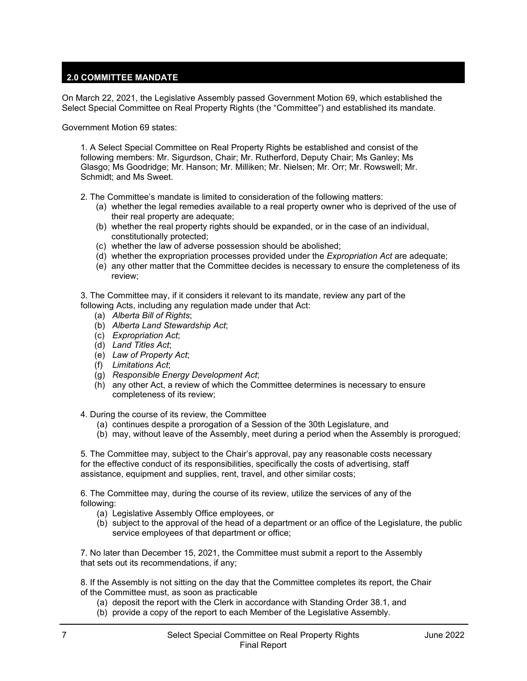## <span id="page-8-0"></span>**2.0 COMMITTEE MANDATE**

On March 22, 2021, the Legislative Assembly passed Government Motion 69, which established the Select Special Committee on Real Property Rights (the "Committee") and established its mandate.

Government Motion 69 states:

1. A Select Special Committee on Real Property Rights be established and consist of the following members: Mr. Sigurdson, Chair; Mr. Rutherford, Deputy Chair; Ms Ganley; Ms Glasgo; Ms Goodridge; Mr. Hanson; Mr. Milliken; Mr. Nielsen; Mr. Orr; Mr. Rowswell; Mr. Schmidt; and Ms Sweet.

- 2. The Committee's mandate is limited to consideration of the following matters:
	- (a) whether the legal remedies available to a real property owner who is deprived of the use of their real property are adequate;
	- (b) whether the real property rights should be expanded, or in the case of an individual, constitutionally protected;
	- (c) whether the law of adverse possession should be abolished;
	- (d) whether the expropriation processes provided under the *Expropriation Act* are adequate;
	- (e) any other matter that the Committee decides is necessary to ensure the completeness of its review;

3. The Committee may, if it considers it relevant to its mandate, review any part of the following Acts, including any regulation made under that Act:

- (a) *Alberta Bill of Rights*;
- (b) *Alberta Land Stewardship Act*;
- (c) *Expropriation Act*;
- (d) *Land Titles Act*;
- (e) *Law of Property Act*;
- (f) *Limitations Act*;
- (g) *Responsible Energy Development Act*;
- (h) any other Act, a review of which the Committee determines is necessary to ensure completeness of its review;
- 4. During the course of its review, the Committee
	- (a) continues despite a prorogation of a Session of the 30th Legislature, and
	- (b) may, without leave of the Assembly, meet during a period when the Assembly is prorogued;

5. The Committee may, subject to the Chair's approval, pay any reasonable costs necessary for the effective conduct of its responsibilities, specifically the costs of advertising, staff assistance, equipment and supplies, rent, travel, and other similar costs;

6. The Committee may, during the course of its review, utilize the services of any of the following:

- (a) Legislative Assembly Office employees, or
- (b) subject to the approval of the head of a department or an office of the Legislature, the public service employees of that department or office;

7. No later than December 15, 2021, the Committee must submit a report to the Assembly that sets out its recommendations, if any;

8. If the Assembly is not sitting on the day that the Committee completes its report, the Chair of the Committee must, as soon as practicable

- (a) deposit the report with the Clerk in accordance with Standing Order 38.1, and
- (b) provide a copy of the report to each Member of the Legislative Assembly.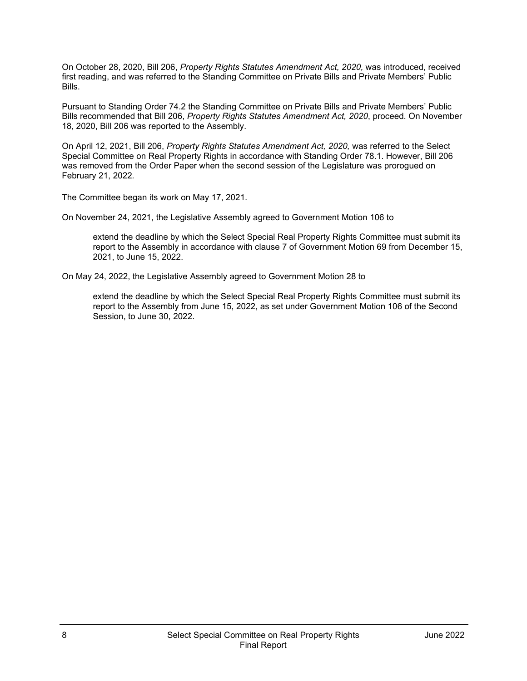On October 28, 2020, Bill 206, *Property Rights Statutes Amendment Act, 2020,* was introduced, received first reading, and was referred to the Standing Committee on Private Bills and Private Members' Public Bills.

Pursuant to Standing Order 74.2 the Standing Committee on Private Bills and Private Members' Public Bills recommended that Bill 206, *Property Rights Statutes Amendment Act, 2020*, proceed. On November 18, 2020, Bill 206 was reported to the Assembly.

On April 12, 2021, Bill 206, *Property Rights Statutes Amendment Act, 2020,* was referred to the Select Special Committee on Real Property Rights in accordance with Standing Order 78.1. However, Bill 206 was removed from the Order Paper when the second session of the Legislature was prorogued on February 21, 2022*.*

The Committee began its work on May 17, 2021.

On November 24, 2021, the Legislative Assembly agreed to Government Motion 106 to

extend the deadline by which the Select Special Real Property Rights Committee must submit its report to the Assembly in accordance with clause 7 of Government Motion 69 from December 15, 2021, to June 15, 2022.

On May 24, 2022, the Legislative Assembly agreed to Government Motion 28 to

extend the deadline by which the Select Special Real Property Rights Committee must submit its report to the Assembly from June 15, 2022, as set under Government Motion 106 of the Second Session, to June 30, 2022.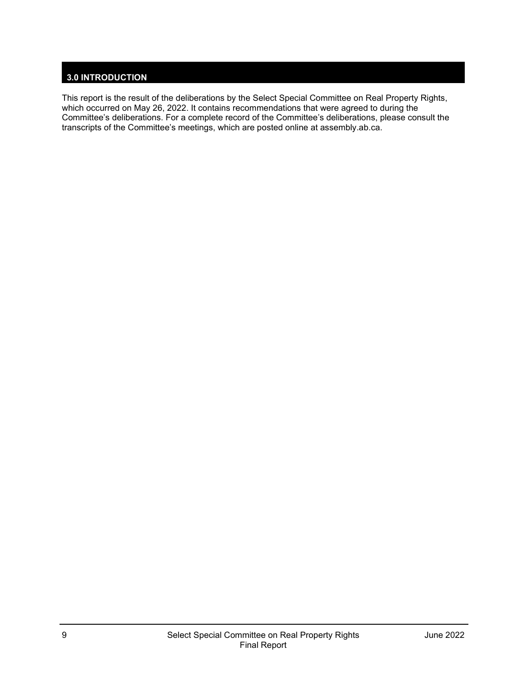## <span id="page-10-0"></span>**3.0 INTRODUCTION**

This report is the result of the deliberations by the Select Special Committee on Real Property Rights, which occurred on May 26, 2022. It contains recommendations that were agreed to during the Committee's deliberations. For a complete record of the Committee's deliberations, please consult the transcripts of the Committee's meetings, which are posted online at assembly.ab.ca.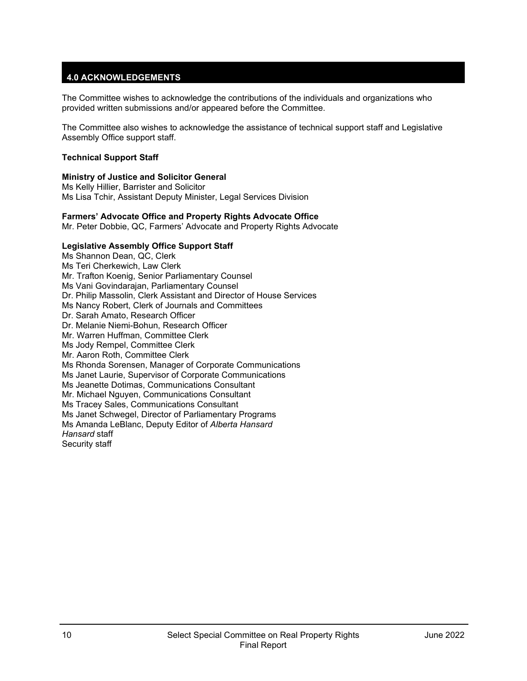## <span id="page-11-0"></span>**4.0 ACKNOWLEDGEMENTS**

The Committee wishes to acknowledge the contributions of the individuals and organizations who provided written submissions and/or appeared before the Committee.

The Committee also wishes to acknowledge the assistance of technical support staff and Legislative Assembly Office support staff.

#### **Technical Support Staff**

#### **Ministry of Justice and Solicitor General**

Ms Kelly Hillier, Barrister and Solicitor Ms Lisa Tchir, Assistant Deputy Minister, Legal Services Division

#### **Farmers' Advocate Office and Property Rights Advocate Office**

Mr. Peter Dobbie, QC, Farmers' Advocate and Property Rights Advocate

#### **Legislative Assembly Office Support Staff**

Ms Shannon Dean, QC, Clerk Ms Teri Cherkewich, Law Clerk Mr. Trafton Koenig, Senior Parliamentary Counsel Ms Vani Govindarajan, Parliamentary Counsel Dr. Philip Massolin, Clerk Assistant and Director of House Services Ms Nancy Robert, Clerk of Journals and Committees Dr. Sarah Amato, Research Officer Dr. Melanie Niemi-Bohun, Research Officer Mr. Warren Huffman, Committee Clerk Ms Jody Rempel, Committee Clerk Mr. Aaron Roth, Committee Clerk Ms Rhonda Sorensen, Manager of Corporate Communications Ms Janet Laurie, Supervisor of Corporate Communications Ms Jeanette Dotimas, Communications Consultant Mr. Michael Nguyen, Communications Consultant Ms Tracey Sales, Communications Consultant Ms Janet Schwegel, Director of Parliamentary Programs Ms Amanda LeBlanc, Deputy Editor of *Alberta Hansard Hansard* staff Security staff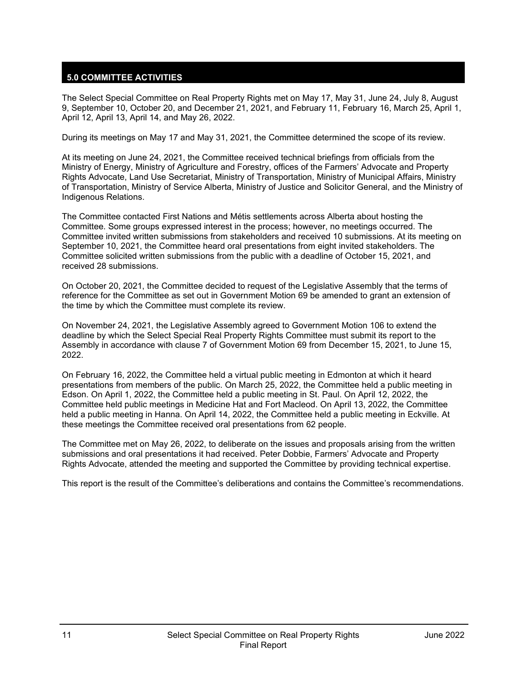## <span id="page-12-0"></span>**5.0 COMMITTEE ACTIVITIES**

The Select Special Committee on Real Property Rights met on May 17, May 31, June 24, July 8, August 9, September 10, October 20, and December 21, 2021, and February 11, February 16, March 25, April 1, April 12, April 13, April 14, and May 26, 2022.

During its meetings on May 17 and May 31, 2021, the Committee determined the scope of its review.

At its meeting on June 24, 2021, the Committee received technical briefings from officials from the Ministry of Energy, Ministry of Agriculture and Forestry, offices of the Farmers' Advocate and Property Rights Advocate, Land Use Secretariat, Ministry of Transportation, Ministry of Municipal Affairs, Ministry of Transportation, Ministry of Service Alberta, Ministry of Justice and Solicitor General, and the Ministry of Indigenous Relations.

The Committee contacted First Nations and Métis settlements across Alberta about hosting the Committee. Some groups expressed interest in the process; however, no meetings occurred. The Committee invited written submissions from stakeholders and received 10 submissions. At its meeting on September 10, 2021, the Committee heard oral presentations from eight invited stakeholders. The Committee solicited written submissions from the public with a deadline of October 15, 2021, and received 28 submissions.

On October 20, 2021, the Committee decided to request of the Legislative Assembly that the terms of reference for the Committee as set out in Government Motion 69 be amended to grant an extension of the time by which the Committee must complete its review.

On November 24, 2021, the Legislative Assembly agreed to Government Motion 106 to extend the deadline by which the Select Special Real Property Rights Committee must submit its report to the Assembly in accordance with clause 7 of Government Motion 69 from December 15, 2021, to June 15, 2022.

On February 16, 2022, the Committee held a virtual public meeting in Edmonton at which it heard presentations from members of the public. On March 25, 2022, the Committee held a public meeting in Edson. On April 1, 2022, the Committee held a public meeting in St. Paul. On April 12, 2022, the Committee held public meetings in Medicine Hat and Fort Macleod. On April 13, 2022, the Committee held a public meeting in Hanna. On April 14, 2022, the Committee held a public meeting in Eckville. At these meetings the Committee received oral presentations from 62 people.

The Committee met on May 26, 2022, to deliberate on the issues and proposals arising from the written submissions and oral presentations it had received. Peter Dobbie, Farmers' Advocate and Property Rights Advocate, attended the meeting and supported the Committee by providing technical expertise.

This report is the result of the Committee's deliberations and contains the Committee's recommendations.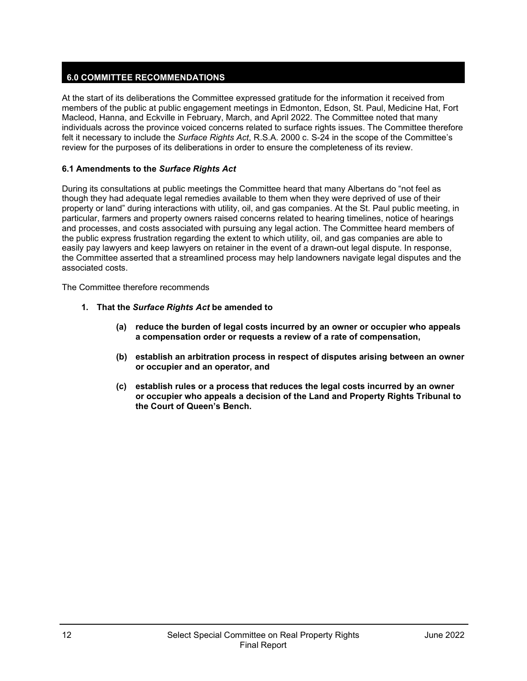## <span id="page-13-0"></span>**6.0 COMMITTEE RECOMMENDATIONS**

At the start of its deliberations the Committee expressed gratitude for the information it received from members of the public at public engagement meetings in Edmonton, Edson, St. Paul, Medicine Hat, Fort Macleod, Hanna, and Eckville in February, March, and April 2022. The Committee noted that many individuals across the province voiced concerns related to surface rights issues. The Committee therefore felt it necessary to include the *Surface Rights Act*, R.S.A. 2000 c. S-24 in the scope of the Committee's review for the purposes of its deliberations in order to ensure the completeness of its review.

## <span id="page-13-1"></span>**6.1 Amendments to the** *Surface Rights Act*

During its consultations at public meetings the Committee heard that many Albertans do "not feel as though they had adequate legal remedies available to them when they were deprived of use of their property or land" during interactions with utility, oil, and gas companies. At the St. Paul public meeting, in particular, farmers and property owners raised concerns related to hearing timelines, notice of hearings and processes, and costs associated with pursuing any legal action. The Committee heard members of the public express frustration regarding the extent to which utility, oil, and gas companies are able to easily pay lawyers and keep lawyers on retainer in the event of a drawn-out legal dispute. In response, the Committee asserted that a streamlined process may help landowners navigate legal disputes and the associated costs.

The Committee therefore recommends

- **1. That the** *Surface Rights Act* **be amended to** 
	- **(a) reduce the burden of legal costs incurred by an owner or occupier who appeals a compensation order or requests a review of a rate of compensation,**
	- **(b) establish an arbitration process in respect of disputes arising between an owner or occupier and an operator, and**
	- **(c) establish rules or a process that reduces the legal costs incurred by an owner or occupier who appeals a decision of the Land and Property Rights Tribunal to the Court of Queen's Bench.**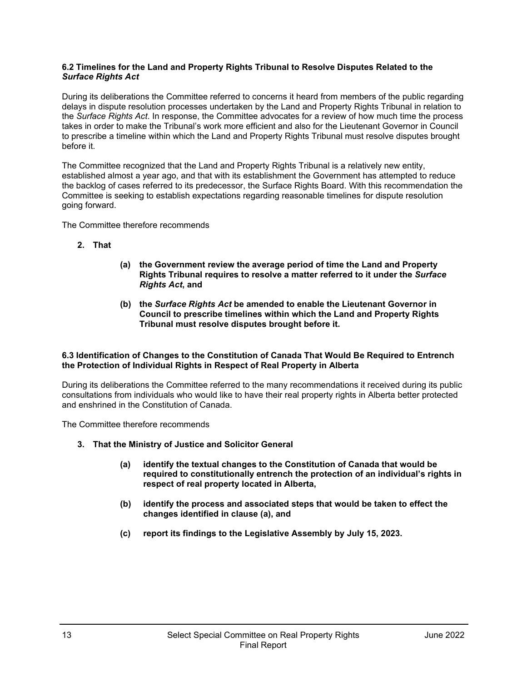## <span id="page-14-0"></span>**6.2 Timelines for the Land and Property Rights Tribunal to Resolve Disputes Related to the**  *Surface Rights Act*

During its deliberations the Committee referred to concerns it heard from members of the public regarding delays in dispute resolution processes undertaken by the Land and Property Rights Tribunal in relation to the *Surface Rights Act*. In response, the Committee advocates for a review of how much time the process takes in order to make the Tribunal's work more efficient and also for the Lieutenant Governor in Council to prescribe a timeline within which the Land and Property Rights Tribunal must resolve disputes brought before it.

The Committee recognized that the Land and Property Rights Tribunal is a relatively new entity, established almost a year ago, and that with its establishment the Government has attempted to reduce the backlog of cases referred to its predecessor, the Surface Rights Board. With this recommendation the Committee is seeking to establish expectations regarding reasonable timelines for dispute resolution going forward.

The Committee therefore recommends

- **2. That**
- **(a) the Government review the average period of time the Land and Property Rights Tribunal requires to resolve a matter referred to it under the** *Surface Rights Act***, and**
- **(b) the** *Surface Rights Act* **be amended to enable the Lieutenant Governor in Council to prescribe timelines within which the Land and Property Rights Tribunal must resolve disputes brought before it.**

#### <span id="page-14-1"></span>**6.3 Identification of Changes to the Constitution of Canada That Would Be Required to Entrench the Protection of Individual Rights in Respect of Real Property in Alberta**

During its deliberations the Committee referred to the many recommendations it received during its public consultations from individuals who would like to have their real property rights in Alberta better protected and enshrined in the Constitution of Canada.

The Committee therefore recommends

- **3. That the Ministry of Justice and Solicitor General** 
	- **(a) identify the textual changes to the Constitution of Canada that would be required to constitutionally entrench the protection of an individual's rights in respect of real property located in Alberta,**
	- **(b) identify the process and associated steps that would be taken to effect the changes identified in clause (a), and**
	- **(c) report its findings to the Legislative Assembly by July 15, 2023.**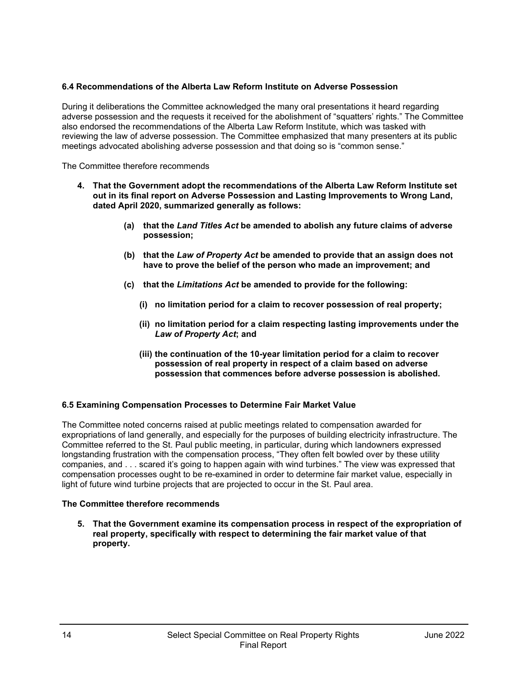#### <span id="page-15-0"></span>**6.4 Recommendations of the Alberta Law Reform Institute on Adverse Possession**

During it deliberations the Committee acknowledged the many oral presentations it heard regarding adverse possession and the requests it received for the abolishment of "squatters' rights." The Committee also endorsed the recommendations of the Alberta Law Reform Institute, which was tasked with reviewing the law of adverse possession. The Committee emphasized that many presenters at its public meetings advocated abolishing adverse possession and that doing so is "common sense."

The Committee therefore recommends

- **4. That the Government adopt the recommendations of the Alberta Law Reform Institute set out in its final report on Adverse Possession and Lasting Improvements to Wrong Land, dated April 2020, summarized generally as follows:** 
	- **(a) that the** *Land Titles Act* **be amended to abolish any future claims of adverse possession;**
	- **(b) that the** *Law of Property Act* **be amended to provide that an assign does not have to prove the belief of the person who made an improvement; and**
	- **(c) that the** *Limitations Act* **be amended to provide for the following:** 
		- **(i) no limitation period for a claim to recover possession of real property;**
		- **(ii) no limitation period for a claim respecting lasting improvements under the**  *Law of Property Act***; and**
		- **(iii) the continuation of the 10-year limitation period for a claim to recover possession of real property in respect of a claim based on adverse possession that commences before adverse possession is abolished.**

## <span id="page-15-1"></span>**6.5 Examining Compensation Processes to Determine Fair Market Value**

The Committee noted concerns raised at public meetings related to compensation awarded for expropriations of land generally, and especially for the purposes of building electricity infrastructure. The Committee referred to the St. Paul public meeting, in particular, during which landowners expressed longstanding frustration with the compensation process, "They often felt bowled over by these utility companies, and . . . scared it's going to happen again with wind turbines." The view was expressed that compensation processes ought to be re-examined in order to determine fair market value, especially in light of future wind turbine projects that are projected to occur in the St. Paul area.

#### **The Committee therefore recommends**

**5. That the Government examine its compensation process in respect of the expropriation of real property, specifically with respect to determining the fair market value of that property.**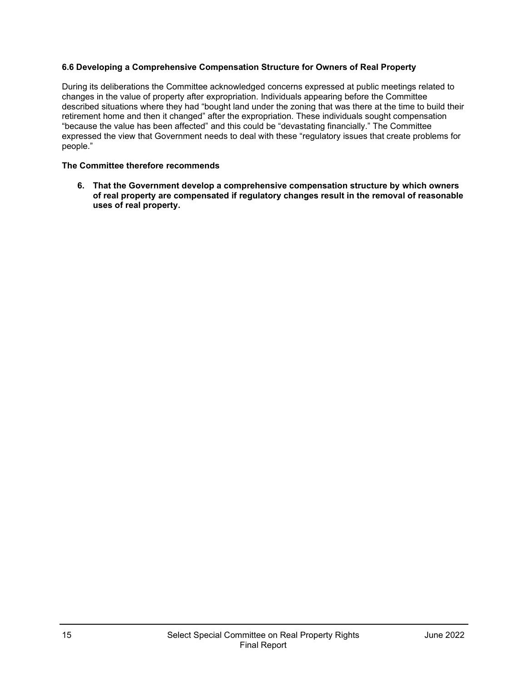## <span id="page-16-0"></span>**6.6 Developing a Comprehensive Compensation Structure for Owners of Real Property**

During its deliberations the Committee acknowledged concerns expressed at public meetings related to changes in the value of property after expropriation. Individuals appearing before the Committee described situations where they had "bought land under the zoning that was there at the time to build their retirement home and then it changed" after the expropriation. These individuals sought compensation "because the value has been affected" and this could be "devastating financially." The Committee expressed the view that Government needs to deal with these "regulatory issues that create problems for people."

#### **The Committee therefore recommends**

**6. That the Government develop a comprehensive compensation structure by which owners of real property are compensated if regulatory changes result in the removal of reasonable uses of real property.**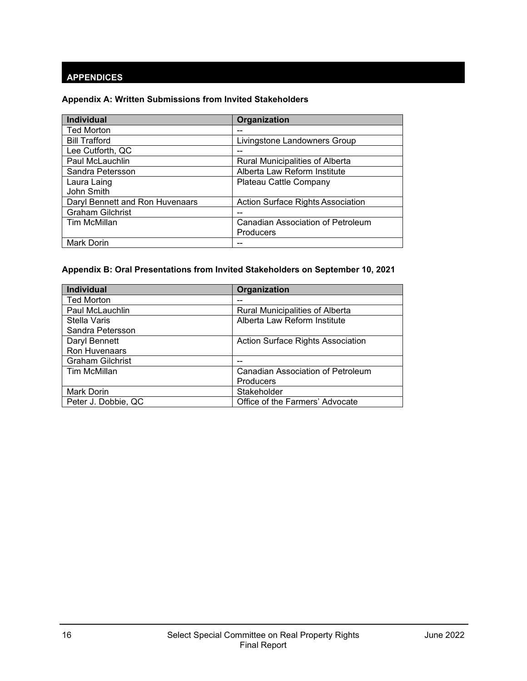## <span id="page-17-0"></span>**APPENDICES**

## <span id="page-17-1"></span>**Appendix A: Written Submissions from Invited Stakeholders**

| <b>Individual</b>               | Organization                      |
|---------------------------------|-----------------------------------|
| <b>Ted Morton</b>               |                                   |
| <b>Bill Trafford</b>            | Livingstone Landowners Group      |
| Lee Cutforth, QC                |                                   |
| Paul McLauchlin                 | Rural Municipalities of Alberta   |
| Sandra Petersson                | Alberta Law Reform Institute      |
| Laura Laing                     | Plateau Cattle Company            |
| John Smith                      |                                   |
| Daryl Bennett and Ron Huvenaars | Action Surface Rights Association |
| <b>Graham Gilchrist</b>         |                                   |
| <b>Tim McMillan</b>             | Canadian Association of Petroleum |
|                                 | Producers                         |
| Mark Dorin                      |                                   |

#### <span id="page-17-2"></span>**Appendix B: Oral Presentations from Invited Stakeholders on September 10, 2021**

| <b>Individual</b>       | Organization                             |
|-------------------------|------------------------------------------|
| <b>Ted Morton</b>       |                                          |
| Paul McLauchlin         | Rural Municipalities of Alberta          |
| Stella Varis            | Alberta Law Reform Institute             |
| Sandra Petersson        |                                          |
| Daryl Bennett           | <b>Action Surface Rights Association</b> |
| Ron Huvenaars           |                                          |
| <b>Graham Gilchrist</b> |                                          |
| <b>Tim McMillan</b>     | Canadian Association of Petroleum        |
|                         | <b>Producers</b>                         |
| Mark Dorin              | Stakeholder                              |
| Peter J. Dobbie, QC     | Office of the Farmers' Advocate          |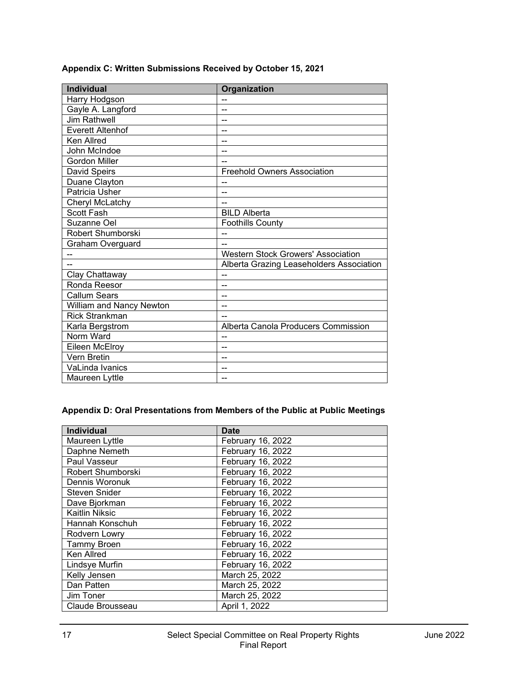| <b>Individual</b>        | Organization                              |  |
|--------------------------|-------------------------------------------|--|
| Harry Hodgson            | --                                        |  |
| Gayle A. Langford        |                                           |  |
| Jim Rathwell             |                                           |  |
| <b>Everett Altenhof</b>  |                                           |  |
| Ken Allred               | --                                        |  |
| John McIndoe             |                                           |  |
| <b>Gordon Miller</b>     | ۰.                                        |  |
| David Speirs             | <b>Freehold Owners Association</b>        |  |
| Duane Clayton            |                                           |  |
| Patricia Usher           |                                           |  |
| Cheryl McLatchy          |                                           |  |
| Scott Fash               | <b>BILD Alberta</b>                       |  |
| Suzanne Oel              | <b>Foothills County</b>                   |  |
| <b>Robert Shumborski</b> |                                           |  |
| Graham Overguard         | --                                        |  |
|                          | <b>Western Stock Growers' Association</b> |  |
|                          | Alberta Grazing Leaseholders Association  |  |
| Clay Chattaway           |                                           |  |
| Ronda Reesor             | --                                        |  |
| <b>Callum Sears</b>      |                                           |  |
| William and Nancy Newton |                                           |  |
| <b>Rick Strankman</b>    | --                                        |  |
| Karla Bergstrom          | Alberta Canola Producers Commission       |  |
| Norm Ward                |                                           |  |
| Eileen McElroy           | --                                        |  |
| Vern Bretin              | --                                        |  |
| VaLinda Ivanics          |                                           |  |
| Maureen Lyttle           | --                                        |  |

<span id="page-18-0"></span>**Appendix C: Written Submissions Received by October 15, 2021**

## <span id="page-18-1"></span>**Appendix D: Oral Presentations from Members of the Public at Public Meetings**

| <b>Individual</b>     | <b>Date</b>       |
|-----------------------|-------------------|
| Maureen Lyttle        | February 16, 2022 |
| Daphne Nemeth         | February 16, 2022 |
| Paul Vasseur          | February 16, 2022 |
| Robert Shumborski     | February 16, 2022 |
| Dennis Woronuk        | February 16, 2022 |
| Steven Snider         | February 16, 2022 |
| Dave Bjorkman         | February 16, 2022 |
| <b>Kaitlin Niksic</b> | February 16, 2022 |
| Hannah Konschuh       | February 16, 2022 |
| Rodvern Lowry         | February 16, 2022 |
| Tammy Broen           | February 16, 2022 |
| Ken Allred            | February 16, 2022 |
| Lindsye Murfin        | February 16, 2022 |
| Kelly Jensen          | March 25, 2022    |
| Dan Patten            | March 25, 2022    |
| Jim Toner             | March 25, 2022    |
| Claude Brousseau      | April 1, 2022     |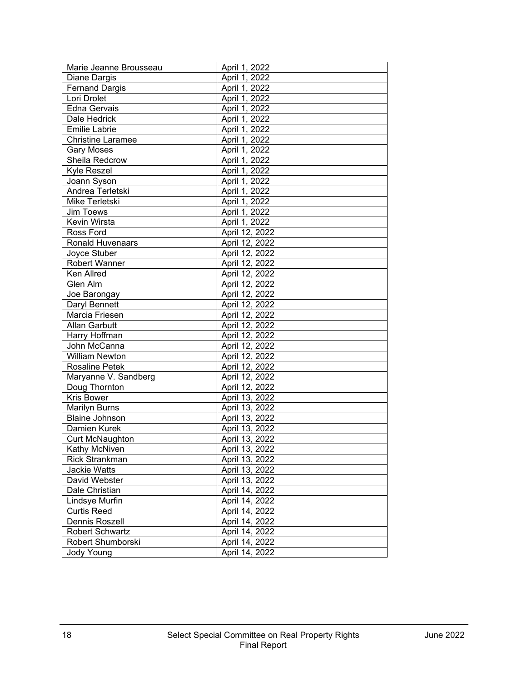| Marie Jeanne Brousseau   | April 1, 2022  |
|--------------------------|----------------|
| Diane Dargis             | April 1, 2022  |
| <b>Fernand Dargis</b>    | April 1, 2022  |
| Lori Drolet              | April 1, 2022  |
| <b>Edna Gervais</b>      | April 1, 2022  |
| Dale Hedrick             | April 1, 2022  |
| <b>Emilie Labrie</b>     | April 1, 2022  |
| <b>Christine Laramee</b> | April 1, 2022  |
| <b>Gary Moses</b>        | April 1, 2022  |
| Sheila Redcrow           | April 1, 2022  |
| Kyle Reszel              | April 1, 2022  |
| Joann Syson              | April 1, 2022  |
| Andrea Terletski         | April 1, 2022  |
| Mike Terletski           | April 1, 2022  |
| Jim Toews                | April 1, 2022  |
| Kevin Wirsta             | April 1, 2022  |
| Ross Ford                | April 12, 2022 |
| Ronald Huvenaars         | April 12, 2022 |
| Joyce Stuber             | April 12, 2022 |
| Robert Wanner            | April 12, 2022 |
| Ken Allred               | April 12, 2022 |
| Glen Alm                 | April 12, 2022 |
| Joe Barongay             | April 12, 2022 |
| Daryl Bennett            | April 12, 2022 |
| Marcia Friesen           | April 12, 2022 |
| Allan Garbutt            | April 12, 2022 |
| Harry Hoffman            | April 12, 2022 |
| John McCanna             | April 12, 2022 |
| <b>William Newton</b>    | April 12, 2022 |
| Rosaline Petek           | April 12, 2022 |
| Maryanne V. Sandberg     | April 12, 2022 |
| Doug Thornton            | April 12, 2022 |
| Kris Bower               | April 13, 2022 |
| <b>Marilyn Burns</b>     | April 13, 2022 |
| <b>Blaine Johnson</b>    | April 13, 2022 |
| Damien Kurek             | April 13, 2022 |
| <b>Curt McNaughton</b>   | April 13, 2022 |
| <b>Kathy McNiven</b>     | April 13, 2022 |
| <b>Rick Strankman</b>    | April 13, 2022 |
| <b>Jackie Watts</b>      | April 13, 2022 |
| David Webster            | April 13, 2022 |
| Dale Christian           | April 14, 2022 |
| Lindsye Murfin           | April 14, 2022 |
| <b>Curtis Reed</b>       | April 14, 2022 |
| <b>Dennis Roszell</b>    | April 14, 2022 |
| <b>Robert Schwartz</b>   | April 14, 2022 |
| Robert Shumborski        | April 14, 2022 |
| Jody Young               | April 14, 2022 |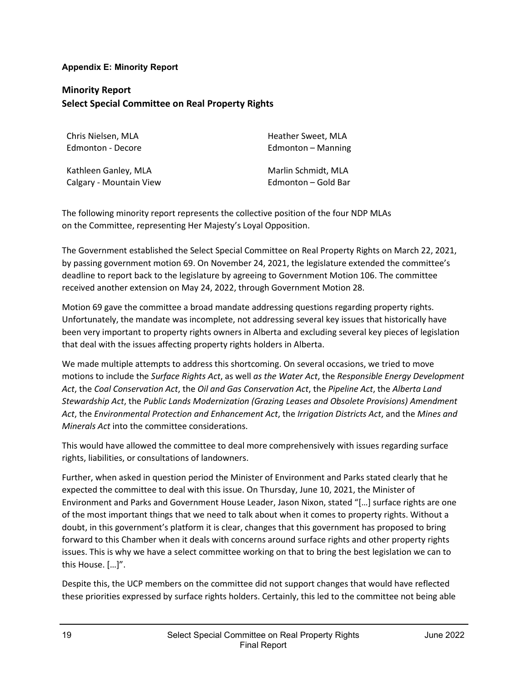## <span id="page-20-0"></span>**Appendix E: Minority Report**

## **Minority Report Select Special Committee on Real Property Rights**

| Chris Nielsen, MLA      | Heather Sweet, MLA  |
|-------------------------|---------------------|
| Edmonton - Decore       | Edmonton - Manning  |
| Kathleen Ganley, MLA    | Marlin Schmidt, MLA |
| Calgary - Mountain View | Edmonton – Gold Bar |

The following minority report represents the collective position of the four NDP MLAs on the Committee, representing Her Majesty's Loyal Opposition.

The Government established the Select Special Committee on Real Property Rights on March 22, 2021, by passing government motion 69. On November 24, 2021, the legislature extended the committee's deadline to report back to the legislature by agreeing to Government Motion 106. The committee received another extension on May 24, 2022, through Government Motion 28.

Motion 69 gave the committee a broad mandate addressing questions regarding property rights. Unfortunately, the mandate was incomplete, not addressing several key issues that historically have been very important to property rights owners in Alberta and excluding several key pieces of legislation that deal with the issues affecting property rights holders in Alberta.

We made multiple attempts to address this shortcoming. On several occasions, we tried to move motions to include the *Surface Rights Act*, as well *as the Water Act*, the *Responsible Energy Development Act*, the *Coal Conservation Act*, the *Oil and Gas Conservation Act*, the *Pipeline Act*, the *Alberta Land Stewardship Act*, the *Public Lands Modernization (Grazing Leases and Obsolete Provisions) Amendment Act*, the *Environmental Protection and Enhancement Act*, the *Irrigation Districts Act*, and the *Mines and Minerals Act* into the committee considerations.

This would have allowed the committee to deal more comprehensively with issues regarding surface rights, liabilities, or consultations of landowners.

Further, when asked in question period the Minister of Environment and Parks stated clearly that he expected the committee to deal with this issue. On Thursday, June 10, 2021, the Minister of Environment and Parks and Government House Leader, Jason Nixon, stated "[…] surface rights are one of the most important things that we need to talk about when it comes to property rights. Without a doubt, in this government's platform it is clear, changes that this government has proposed to bring forward to this Chamber when it deals with concerns around surface rights and other property rights issues. This is why we have a select committee working on that to bring the best legislation we can to this House. […]".

Despite this, the UCP members on the committee did not support changes that would have reflected these priorities expressed by surface rights holders. Certainly, this led to the committee not being able